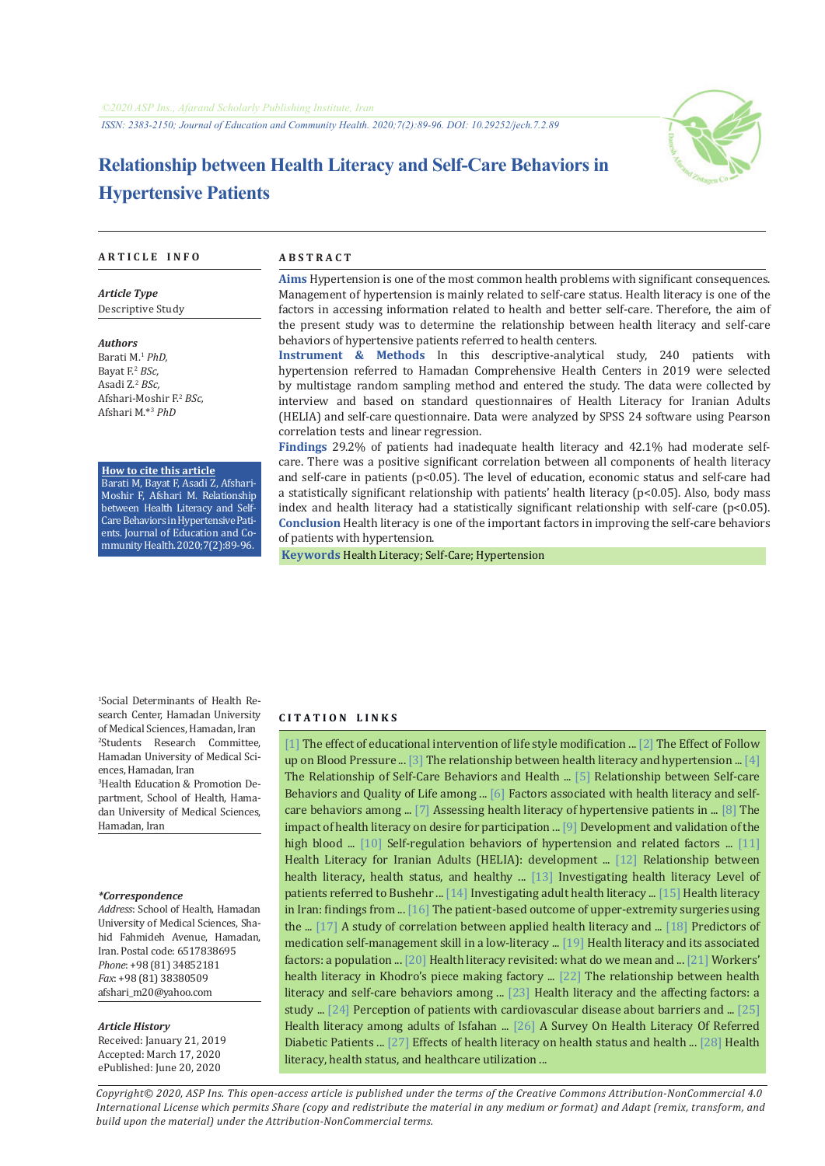

# **Relationship between Health Literacy and Self-Care Behaviors in Hypertensive Patients**

#### **A R T I C L E I N F O A B S T R A C T**

*Article Type* Descriptive Study

*Authors* Barati M.<sup>1</sup> *PhD,* Bayat F.<sup>2</sup> *BSc,* Asadi Z.<sup>2</sup>  *BSc,* Afshari-Moshir F.<sup>2</sup>  *BSc,* Afshari M.\*<sup>3</sup>  *PhD*

**How to cite this article**

Barati M, Bayat F, Asadi Z, Afshari-Moshir F, Afshari M. Relationship between Health Literacy and Self-Care Behaviors in Hypertensive Patients. Journal of Education and Community Health.2020;7(2):89-96.

**Aims** Hypertension is one of the most common health problems with significant consequences. Management of hypertension is mainly related to self-care status. Health literacy is one of the factors in accessing information related to health and better self-care. Therefore, the aim of the present study was to determine the relationship between health literacy and self-care behaviors of hypertensive patients referred to health centers.

**Instrument & Methods** In this descriptive-analytical study, 240 patients with hypertension referred to Hamadan Comprehensive Health Centers in 2019 were selected by multistage random sampling method and entered the study. The data were collected by interview and based on standard questionnaires of Health Literacy for Iranian Adults (HELIA) and self-care questionnaire. Data were analyzed by SPSS 24 software using Pearson correlation tests and linear regression.

**Findings** 29.2% of patients had inadequate health literacy and 42.1% had moderate selfcare. There was a positive significant correlation between all components of health literacy and self-care in patients (p<0.05). The level of education, economic status and self-care had a statistically significant relationship with patients' health literacy (p<0.05). Also, body mass index and health literacy had a statistically significant relationship with self-care ( $p<0.05$ ). **Conclusion** Health literacy is one of the important factors in improving the self-care behaviors of patients with hypertension.

 **Keywords** [Health Literacy](https://www.ncbi.nlm.nih.gov/mesh/68057220); [Self-Care;](https://www.ncbi.nlm.nih.gov/mesh/68012648) [Hypertension](https://www.ncbi.nlm.nih.gov/mesh/68006973)

1 Social Determinants of Health Research Center, Hamadan University of Medical Sciences, Hamadan, Iran 2 Students Research Committee, Hamadan University of Medical Sciences, Hamadan, Iran 3 Health Education & Promotion Department, School of Health, Hamadan University of Medical Sciences,

#### *\*Correspondence*

Hamadan, Iran

*Address*: School of Health, Hamadan University of Medical Sciences, Shahid Fahmideh Avenue, Hamadan, Iran. Postal code: 6517838695 *Phone*: +98 (81) 34852181 *Fax*: +98 (81) 38380509 afshari\_m20@yahoo.com

#### *Article History*

Received: January 21, 2019 Accepted: March 17, 2020 ePublished: June 20, 2020

#### **C I T A T I O N L I N K S**

[[1\]](http://jech.umsha.ac.ir/article-1-188-fa.html) The effect of educational intervention of life style modification ... [\[2](http://jarums.arums.ac.ir/article-1-447-fa.html)] The Effect of Follow up on Blood Pressure ... [\[3\]](http://cjhr.gums.ac.ir/article-1-39-en.html) The relationship between health literacy and hypertension ... [[4\]](http://hsr.mui.ac.ir/index.php/jhsr/article/view/2977) The Relationship of Self-Care Behaviors and Health ... [\[5](http://jech.umsha.ac.ir/article-1-299-fa.html)] Relationship between Self-care Behaviors and Quality of Life among ... [[6\]](https://www.tandfonline.com/doi/abs/10.1080/17538068.2016.1217968) Factors associated with health literacy and self-care behaviors among ... [[7\]](https://www.ncbi.nlm.nih.gov/pubmed/25418246) Assessing health literacy of hypertensive patients in ... [\[8\]](https://www.ncbi.nlm.nih.gov/pubmed/23690237) The impact of health literacy on desire for participation ... [\[9](https://www.ncbi.nlm.nih.gov/pubmed/22030252)] Development and validation of the high blood ... [\[10\]](http://journal.fums.ac.ir/article-1-74-fa.html) Self-regulation behaviors of hypertension and related factors ... [[11\]](http://payeshjournal.ir/article-1-279-fa.html) Health Literacy for Iranian Adults (HELIA): development ... [\[12](https://www.ncbi.nlm.nih.gov/pubmed/23555134)] Relationship between health literacy, health status, and healthy ... [[13\]](http://ismj.bpums.ac.ir/article-1-758-fa.html) Investigating health literacy Level of patients referred to Bushehr ... [\[14\]](http://jech.umsha.ac.ir/article-1-37-fa.html) Investigating adult health literacy ... [[15](http://payeshjournal.ir/article-1-199-fa.html)] Health literacy in Iran: findings from ... [\[16](https://www.ncbi.nlm.nih.gov/pubmed/18214571)] The patient-based outcome of upper-extremity surgeries using the ... [\[17\]](http://journal.muq.ac.ir/article-1-2093-fa.html) A study of correlation between applied health literacy and ... [[18\]](https://www.ncbi.nlm.nih.gov/pubmed/16881946) Predictors of medication self-management skill in a low-literacy ... [\[19\]](http://irje.tums.ac.ir/article-1-5759-fa.html) Health literacy and its associated factors: a population ... [\[20](https://www.ncbi.nlm.nih.gov/pubmed/19372101https://www.ncbi.nlm.nih.gov/pubmed/19372101)] Health literacy revisited: what do we mean and ... [[21\]](http://ioh.iums.ac.ir/article-1-1710-fa.html) Workers' health literacy in Khodro's piece making factory ... [[22\]](http://journals.tums.ac.ir/hayat//article-1-2365-fa.htmlhttp://journals.tums.ac.ir/hayat//article-1-2365-fa.html) The relationship between health literacy and self-care behaviors among ... [[23\]](https://www.sid.ir/fa/journal/ViewPaper.aspx?ID=73310) Health literacy and the affecting factors: a study ... [[24\]](http://journal.icns.org.ir/article-1-71-fa.html) Perception of patients with cardiovascular disease about barriers and ... [[25\]](http://hsr.mui.ac.ir/index.php/jhsr/article/view/1221) Health literacy among adults of Isfahan ... [26] A Survey On Health Literacy Of Referred Diabetic Patients ... [[27\]](https://www.ncbi.nlm.nih.gov/pubmed/18295949) Effects of health literacy on health status and health ... [\[28](https://www.ncbi.nlm.nih.gov/pubmed/20950479)] Health literacy, health status, and healthcare utilization ...

*Copyright© 2020, ASP Ins. This open-access article is published under the terms of the Creative Commons Attribution-NonCommercial 4.0 International License which permits Share (copy and redistribute the material in any medium or format) and Adapt (remix, transform, and build upon the material) under the Attribution-NonCommercial terms.*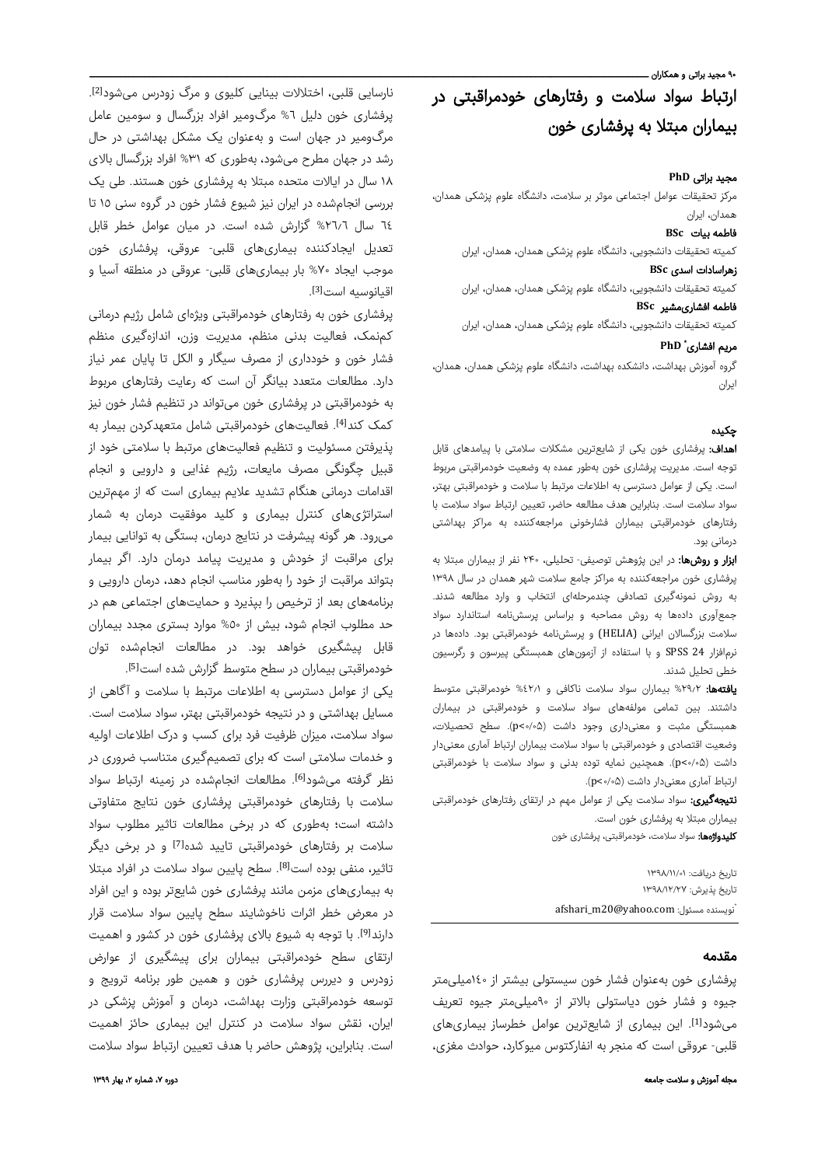#### ۹۰ مجید براتی و همکاران ـ

# ارتباط سواد سلامت و رفتارهای خودمراقبتی در بیماران مبتلا به پرفشاری خون

#### مجید براتی **PhD**

مرکز تحقیقات عوامل اجتماعی موثر بر سلامت، دانشگاه علوم پزشکی همدان، همدان، ایران

#### فاطمه بیات **BSc**

کمیته تحقیقات دانشجویی، دانشگاه علوم پزشکی همدان، همدان، ایران

#### زهراسادات اسدی **BSc**

کمیته تحقیقات دانشجویی، دانشگاه علوم پزشکی همدان، همدان، ایران فاطمه افشاریمشیر **BSc**

کمیته تحقیقات دانشجویی، دانشگاه علوم پزشکی همدان، همدان، ایران

#### **PhD** \* مریم افشاری

گروه آموزش بهداشت، دانشکده بهداشت، دانشگاه علوم پزشکی همدان، همدان، ایران

#### چکیده

اهداف: پرفشاری خون یکی از شایعترین مشکلات سلامتی با پیامدهای قابل توجه است. مدیریت پرفشاری خون بهطور عمده به وضعیت خودمراقبتی مربوط است. یکی از عوامل دسترسی به اطلاعات مرتبط با سلامت و خودمراقبتی بهتر، سواد سلامت است. بنابراین هدف مطالعه حاضر، تعیین ارتباط سواد سلامت با رفتارهای خودمراقبتی بیماران فشارخونی مراجعهکننده به مراکز بهداشتی درمانی بود.

ا**بزار و روشها:** در این پژوهش توصیفی- تحلیلی، ۲۴۰ نفر از بیماران مبتلا به پرفشاری خون مراجعهکننده به مراکز جامع سلامت شهر همدان در سال ۱۳۹۸ به روش نمونهگیری تصادفی چندمرحلهای انتخاب و وارد مطالعه شدند. جمعآوری دادهها به روش مصاحبه و براساس پرسشنامه استاندارد سواد سلامت بزرگسالان ایرانی (HELIA (و پرسشنامه خودمراقبتی بود. دادهها در نرمافزار 24 SPSS و با استفاده از آزمونهای همبستگی پیرسون و رگرسیون خطی تحلیل شدند.

یافتهها: %٢٩٫٢ بیماران سواد سلامت ناکافی و %٤٢٫١ خودمراقبتی متوسط داشتند. بین تمامی مولفههای سواد سلامت و خودمراقبتی در بیماران همبستگی مثبت و معنیداری وجود داشت (۰/۰۵>p(. سطح تحصیلات، وضعیت اقتصادی و خودمراقبتی با سواد سلامت بیماران ارتباط آماری معنیدار داشت (۰/۰۵>p(. همچنین نمایه توده بدنی و سواد سلامت با خودمراقبتی ارتباط آماری معنیدار داشت (۰/۰۵>p(.

**نتیجهگیری:** سواد سلامت یکی از عوامل مهم در ارتقای رفتارهای خودمراقبتی بیماران مبتلا به پرفشاری خون است. کلیدواژهها: سواد سلامت، خودمراقبتی، پرفشاری خون

تاریخ دریافت: ۱۳۹۸/۱۱/۰۱ تاریخ پذیرش: ۱۳۹۸/۱۲/۲۷ nfshari\_m20@yahoo.com : نویسنده مسئول ن

#### مقدمه

پرفشاری خون بهعنوان فشار خون سیستولی بیشتر از ١٤٠میلیمتر جیوه و فشار خون دیاستولی بالاتر از ٩٠میلیمتر جیوه تعریف میشود<sup>[1]</sup>. این بیماری از شایعترین عوامل خطرساز بیماریهای قلبی- عروقی است که منجر به انفارکتوس میوکارد، حوادث مغزی،

. [2] نارسایی قلبی، اختلالات بینایی کلیوی و مرگ زودرس میشود پرفشاری خون دلیل %٦ مرگومیر افراد بزرگسال و سومین عامل مرگومیر در جهان است و بهعنوان یک مشکل بهداشتی در حال رشد در جهان مطرح میشود، بهطوری که %٣١ افراد بزرگسال بالای ١٨ سال در ایالات متحده مبتلا به پرفشاری خون هستند. طی یک بررسی انجامشده در ایران نیز شیوع فشار خون در گروه سنی ١٥ تا ٦٤ سال %٢٦٫٦ گزارش شده است. در میان عوامل خطر قابل تعدیل ایجادکننده بیماریهای قلبی- عروقی، پرفشاری خون موجب ایجاد %٧٠ بار بیماریهای قلبی- عروقی در منطقه آسیا و [3] اقیانوسیه است .

پرفشاری خون به رفتارهای خودمراقبتی ویژهای شامل رژیم درمانی کمنمک، فعالیت بدنی منظم، مدیریت وزن، اندازهگیری منظم فشار خون و خودداری از مصرف سیگار و الکل تا پایان عمر نیاز دارد. مطالعات متعدد بیانگر آن است که رعایت رفتارهای مربوط به خودمراقبتی در پرفشاری خون میتواند در تنظیم فشار خون نیز کمک کند<sup>[4]</sup>. فعالیتهای خودمراقبتی شامل متعهدکردن بیمار به پذیرفتن مسئولیت و تنظیم فعالیتهای مرتبط با سلامتی خود از قبیل چگونگی مصرف مایعات، رژیم غذایی و دارویی و انجام اقدامات درمانی هنگام تشدید علایم بیماری است که از مهمترین استراتژیهای کنترل بیماری و کلید موفقیت درمان به شمار میرود. هر گونه پیشرفت در نتایج درمان، بستگی به توانایی بیمار برای مراقبت از خودش و مدیریت پیامد درمان دارد. اگر بیمار بتواند مراقبت از خود را بهطور مناسب انجام دهد، درمان دارویی و برنامههای بعد از ترخیص را بپذیرد و حمایتهای اجتماعی هم در حد مطلوب انجام شود، بیش از %٥٠ موارد بستری مجدد بیماران قابل پیشگیری خواهد بود. در مطالعات انجامشده توان . خودمراقبتی بیماران در سطح متوسط گزارش شده است[5]

یکی از عوامل دسترسی به اطلاعات مرتبط با سلامت و آگاهی از مسایل بهداشتی و در نتیجه خودمراقبتی بهتر، سواد سلامت است. سواد سلامت، میزان ظرفیت فرد برای کسب و درک اطلاعات اولیه و خدمات سلامتی است که برای تصمیمگیری متناسب ضروری در نظر گرفته میشود<sup>[6]</sup>. مطالعات انجامشده در زمینه ارتباط سواد سلامت با رفتارهای خودمراقبتی پرفشاری خون نتایج متفاوتی داشته است؛ بهطوری که در برخی مطالعات تاثیر مطلوب سواد سلامت بر رفتارهای خودمراقبتی تایید شده[7] و در برخی دیگر تاثیر، منفی بوده است<sup>[8]</sup>. سطح پایین سواد سلامت در افراد مبتلا به بیماریهای مزمن مانند پرفشاری خون شایعتر بوده و این افراد در معرض خطر اثرات ناخوشایند سطح پایین سواد سلامت قرار دارندا<sup>9</sup>]. با توجه به شیوع بالای پرفشاری خون در کشور و اهمیت ارتقای سطح خودمراقبتی بیماران برای پیشگیری از عوارض زودرس و دیررس پرفشاری خون و همین طور برنامه ترویج و توسعه خودمراقبتی وزارت بهداشت، درمان و آموزش پزشکی در ایران، نقش سواد سلامت در کنترل این بیماری حائز اهمیت است. بنابراین، پژوهش حاضر با هدف تعیین ارتباط سواد سلامت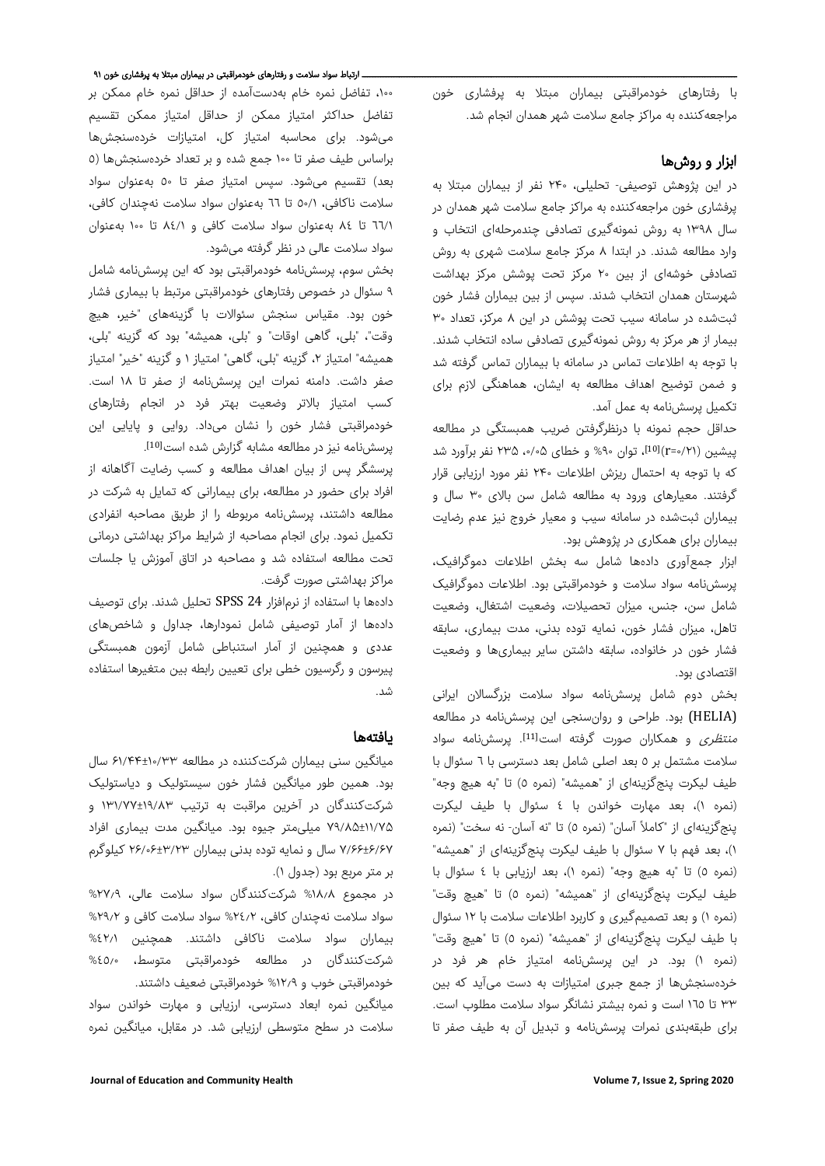با رفتارهای خودمراقبتی بیماران مبتلا به پرفشاری خون مراجعهکننده به مراکز جامع سلامت شهر همدان انجام شد.

### ابزار و روشها

در این پژوهش توصیفی- تحلیلی، ۲۴۰ نفر از بیماران مبتلا به پرفشاری خون مراجعهکننده به مراکز جامع سلامت شهر همدان در سال ۱۳۹۸ به روش نمونهگیری تصادفی چندمرحلهای انتخاب و وارد مطالعه شدند. در ابتدا ۸ مرکز جامع سلامت شهری به روش تصادفی خوشهای از بین ٢٠ مرکز تحت پوشش مرکز بهداشت شهرستان همدان انتخاب شدند. سپس از بین بیماران فشار خون ثبتشده در سامانه سیب تحت پوشش در این ٨ مرکز، تعداد ٣٠ بیمار از هر مر کز به روش نمونهگیری تصادفی ساده انتخاب شدند. با توجه به اطلاعات تماس در سامانه با بیماران تماس گرفته شد و ضمن توضیح اهداف مطالعه به ایشان، هماهنگی لازم برای تکمیل پرسشنامه به عمل آمد.

حداقل حجم نمونه با درنظرگرفتن ضریب همبستگی در مطالعه پیشین (۲۱/-۲¤)، توان %% و خطای ۵۰/۰۵ ۲۳۵ نفر برآورد شد که با توجه به احتمال ریزش اطلاعات ۲۴۰ نفر مورد ارزیابی قرار گرفتند. معیارهای ورود به مطالعه شامل سن بالای ٣٠ سال و بیماران ثبتشده در سامانه سیب و معیار خروج نیز عدم رضایت بیماران برای همکاری در پژوهش بود.

ابزار جمعآوری دادهها شامل سه بخش اطلاعات دموگرافیک، پرسشنامه سواد سلامت و خودمراقبتی بود. اطلاعات دموگرافیک شامل سن، جنس، میزان تحصیلات، وضعیت اشتغال، وضعیت تاهل، میزان فشار خون، نمایه توده بدنی، مدت بیماری، سابقه فشار خون در خانواده، سابقه داشتن سایر بیماریها و وضعیت اقتصادی بود.

بخش دوم شامل پرسشنامه سواد سلامت بزرگسالان ایرانی (HELIA (بود. طراحی و روانسنجی این پرسشنامه در مطالعه م*نتظری* و همکاران صورت گرفته است<sup>[11]</sup>. پرسشنامه سواد سلامت مشتمل بر ٥ بعد اصلی شامل بعد دسترسی با ٦ سئوال با طیف لیکرت پنجگزینهای از "همیشه" (نمره ٥) تا "به هیچ وجه" (نمره ١)، بعد مهارت خواندن با ٤ سئوال با طیف لیکرت پنجگزینهای از "کاملاً آسان" (نمره ٥) تا "نه آسان- نه سخت" (نمره ١)، بعد فهم با ٧ سئوال با طیف لیکرت پنجگزینهای از "همیشه" (نمره ٥) تا "به هیچ وجه" (نمره ١)، بعد ارزیابی با ٤ سئوال با طیف لیکرت پنجگزینهای از "همیشه" (نمره ٥) تا "هیچ وقت" (نمره ١) و بعد تصمیمگیری و کاربرد اطلاعات سلامت با ١٢ سئوال با طیف لیکرت پنجگزینهای از "همیشه" (نمره ٥) تا "هیچ وقت" (نمره ١) بود. در این پرسشنامه امتیاز خام هر فرد در خردهسنجشها از جمع جبری امتیازات به دست میآید که بین ٣٣ تا ١٦٥ است و نمره بیشتر نشانگر سواد سلامت مطلوب است. برای طبقهبندی نمرات پرسشنامه و تبدیل آن به طیف صفر تا

#### ــــــــــــــــــــــــــــــــــــــــــــــــــــــــــــــــــــــــــــــــــــــــــــــــــــــــــــــــــــــــــــــــــــــــــــــ ارتباط سواد سلامت و رفتارهای خودمراقبتی در بیماران مبتلا به پرفشار ی خون ۹۱

،١٠٠ تفاضل نمره خام بهدستآمده از حداقل نمره خام ممکن بر تفاضل حداکثر امتیاز ممکن از حداقل امتیاز ممکن تقسیم میشود. برای محاسبه امتیاز کل، امتیازات خردهسنجشها براساس طیف صفر تا ١٠٠ جمع شده و بر تعداد خردهسنجشها (٥ بعد) تقسیم میشود. سپس امتیاز صفر تا ٥٠ بهعنوان سواد سلامت ناکافی، ٥٠/١ تا ٦٦ بهعنوان سواد سلامت نهچندان کافی، ٦٦/١ تا ٨٤ بهعنوان سواد سلامت کافی و ٨٤/١ تا ١٠٠ بهعنوان سواد سلامت عالی در نظر گرفته میشود.

بخش سوم، پرسشنامه خودمراقبتی بود که این پرسشنامه شامل ٩ سئوال در خصوص رفتارهای خودمراقبتی مرتبط با بیماری فشار خون بود. مقیاس سنجش سئوالات با گزینههای "خیر، هیچ وقت"، "بلی، گاهی اوقات" و "بلی، همیشه" بود که گزینه "بلی، همیشه" امتیاز ،٢ گزینه "بلی، گاهی" امتیاز ١ و گزینه "خیر" امتیاز صفر داشت. دامنه نمرات این پرسشنامه از صفر تا ١٨ است. کسب امتیاز بالاتر وضعیت بهتر فرد در انجام رفتارهای خودمراقبتی فشار خون را نشان میداد. روایی و پایایی این . [10] پرسشنامه نیز در مطالعه مشابه گزارش شده است

پرسشگر پس از بیان اهداف مطالعه و کسب رضایت آگاهانه از افراد برای حضور در مطالعه، برای بیمارانی که تمایل به شرکت در مطالعه داشتند، پرسشنامه مربوطه را از طریق مصاحبه انفرادی تکمیل نمود. برای انجام مصاحبه از شرایط مراکز بهداشتی درمانی تحت مطالعه استفاده شد و مصاحبه در اتاق آموزش یا جلسات مراکز بهداشتی صورت گرفت.

دادهها با استفاده از نرمافزار 24 SPSS تحلیل شدند. برای توصیف دادهها از آمار توصیفی شامل نمودارها، جداول و شاخصهای عددی و همچنین از آمار استنباطی شامل آزمون همبستگی پیرسون و رگرسیون خطی برای تعیین رابطه بین متغیرها استفاده شد.

#### یافتهها

میانگین سنی بیماران شرکتکننده در مطالعه ۶۱/۴۴±۱۰/۳۳ سال بود. همین طور میانگین فشار خون سیستولیک و دیاستولیک شرکتکنندگان در آخرین مراقبت به ترتیب ۱۳۱/۷۷±۱۹/۸۳ و ۷۹/۸۵±۱۱/۷۵ میلیمتر جیوه بود. میانگین مدت بیماری افراد ۷/۶۶±۶/۶۷ سال و نمایه توده بدنی بیماران ۲۶/۰۶±۳/۲۳ کیلوگرم بر متر مربع بود (جدول ۱).

در مجموع %١٨٫٨ شرکتکنندگان سواد سلامت عالی، %٢٧٫٩ سواد سلامت نهچندان کافی، %٢٤٫٢ سواد سلامت کافی و %٢٩٫٢ بیماران سواد سلامت ناکافی داشتند. همچنین %٤٢٫١ شرکتکنندگان در مطالعه خودمراقبتی متوسط، %٤٥٫٠ خودمراقبتی خوب و %١٢٫٩ خودمراقبتی ضعیف داشتند.

میانگین نمره ابعاد دسترسی، ارزیابی و مهارت خواندن سواد سلامت در سطح متوسطی ارزیابی شد. در مقابل، میانگین نمره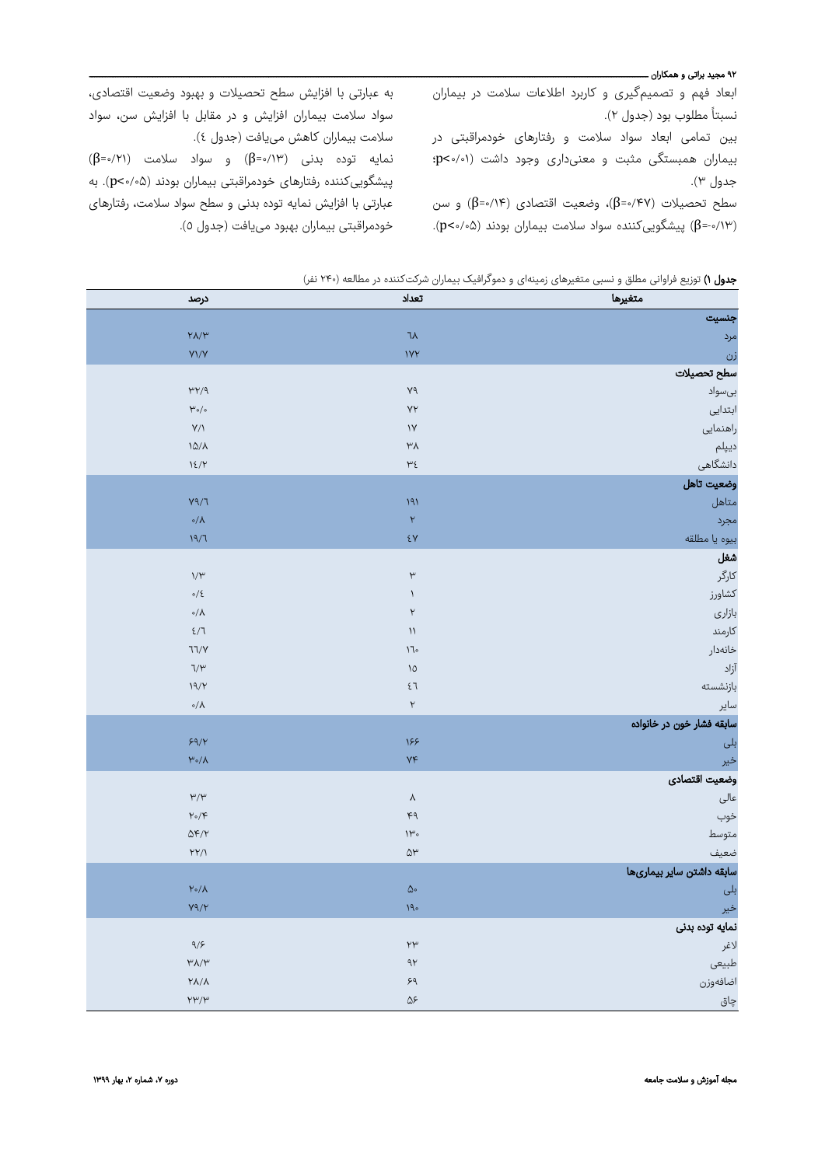#### ۹۲ مجید براتی و همکاران ــــــ

ابعاد فهم و تصمیمگیری و کاربرد اطلاعات سلامت در بیماران نسبتا مطلوب بود (جدول ۲). ً

بین تمامی ابعاد سواد سلامت و رفتارهای خودمراقبتی در بیماران همبستگی مثبت و معنیداری وجود داشت (٠/٠١>p؛ جدول ٣).

سطح تحصیلات (۴۷/۰=β)، وضعیت اقتصادی (۱۴/۰=β) و سن (-۰/۱۳=β (پیشگوییکننده سواد سلامت بیماران بودند (۰/۰۵>p(.

به عبارتی با افزایش سطح تحصیلات و بهبود وضعیت اقتصادی، سواد سلامت بیماران افزایش و در مقابل با افزایش سن، سواد سلامت بیماران کاهش مییافت (جدول ٤). نمایه توده بدنی (۰/۱۳=β (و سواد سلامت (۰/۲۱=β( پیشگوییکننده رفتارهای خودمراقبتی بیماران بودند (۰/۰۵>p(. به عبارتی با افزایش نمایه توده بدنی و سطح سواد سلامت، رفتارهای خودمراقبتی بیماران بهبود مییافت (جدول ٥).

|  |  |  |  |  | جدول ۱) توزیع فراوانی مطلق و نسبی متغیرهای زمینهای و دموگرافیک بیماران شرکتکننده در مطالعه (۲۴۰ نفر) |  |
|--|--|--|--|--|------------------------------------------------------------------------------------------------------|--|
|--|--|--|--|--|------------------------------------------------------------------------------------------------------|--|

| درصد                                                        | تعداد                                    | متغيرها                   |
|-------------------------------------------------------------|------------------------------------------|---------------------------|
|                                                             |                                          | جنسيت                     |
| $Y\Lambda/Y$                                                | $\lambda$                                | مرد                       |
| $Y\frac{1}{Y}$                                              | VY                                       | زن                        |
|                                                             |                                          | سطح تحصيلات               |
| $\gamma\gamma\gamma$                                        | $\mathsf{Y} \mathsf{q}$                  | بىسواد                    |
| $\mu_{\circ/\circ}$                                         | YY                                       | ابتدایی                   |
| $Y/\lambda$                                                 | $\bar{Y}$                                | راهنمایی                  |
| $\lambda\Delta/\lambda$                                     | $\mu_{\rm V}$                            | ديپلم                     |
| 15/7                                                        | $\mathsf{h}\epsilon$                     | دانشگاهی                  |
|                                                             |                                          | وضعيت تاهل                |
| $Y^{\alpha}$                                                | 191                                      | متاهل                     |
| $\circ/\Lambda$                                             | $\boldsymbol{\gamma}$                    | مجرد                      |
| 19/7                                                        | $\epsilon$ Y                             | بيوه يا مطلقه             |
|                                                             |                                          | شغل                       |
| $\mathcal{W}^{\omega}$                                      | $\mathsf{t}^\omega$                      | کارگر                     |
| $\circ/ \xi$                                                | $\backslash$                             | كشاورز                    |
| $\circ/\Lambda$                                             | $\mathsf Y$                              | بازارى                    |
| $\xi/T$                                                     | $\bar{\cal W}$                           | كارمند                    |
| 77/Y                                                        | $\backslash \mathbb{k}$                  | خانەدار                   |
| $\nabla/\Upsilon$                                           | $\lambda$                                | آزاد                      |
| $\backslash\mathfrak{q}/\mathfrak{p}$                       | $\xi$ $\overline{\chi}$                  | بازنشسته                  |
| $\circ/\Lambda$                                             | $\mathsf{Y}$                             | ساير                      |
|                                                             |                                          | سابقه فشار خون در خانواده |
| 59/7                                                        | 188                                      | بلی                       |
| $\mathsf{h}^\mathsf{u}\circ\mathsf{h}$                      | YF                                       | خير                       |
|                                                             |                                          | وضعيت اقتصادى             |
| $\upmu/\upmu$                                               | $\lambda$                                | عالى                      |
| $\mathsf{Y}\circ\mathsf{Y}$                                 | $\kappa$ q                               | خوب                       |
| $\Delta \mathbf{F}/\mathbf{Y}$                              | $\mathcal{W}^{\omega}$                   | متوسط                     |
| $\mathsf{YY}/\mathsf{V}$                                    | $\Delta \mathcal{V}$                     | ضعيف                      |
|                                                             |                                          | سابقه داشتن ساير بيمارىها |
| $\mathsf{Y} \circ / \mathsf{Y}$                             | $\Delta \circ$                           | بلی                       |
| $Y^{\alpha}/Y$                                              | $\backslash \mathfrak{q}_\circ$          | خير                       |
|                                                             |                                          | نمايه توده بدنى           |
| $9/5$                                                       | $\mathsf{Y} \mathsf{Y}$                  | لاغر                      |
| $\mathsf{h}^{\mathsf{u}}\mathsf{A}/\mathsf{h}^{\mathsf{u}}$ | $\gamma\gamma$                           | طبيعى                     |
| $\mathsf{Y}\mathsf{A}/\mathsf{A}$                           | $\mathord{\varphi} \mathord{\mathsf{q}}$ | اضافهوزن                  |
| $\mathsf{Y}\mathsf{Y}'\mathsf{Y}$                           | $\Delta\mathcal{F}$                      | چاق                       |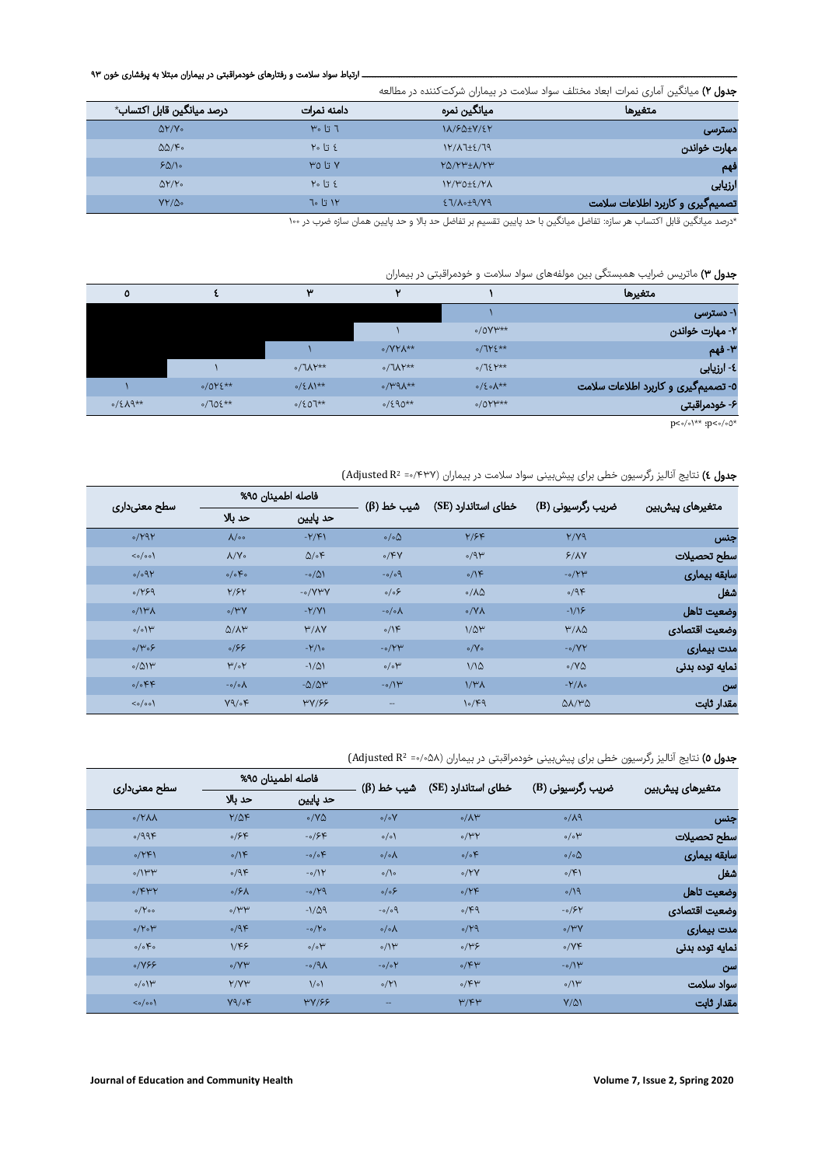### ــــــــــــــــــــــــــــــــــــــــــــــــــــــــــــــــــــــــــــــــــــــــــــــــــــــــــــــــــــــــــــــــــــــــــــــ ارتباط سواد سلامت و رفتارهای خودمراقبتی در بیماران مبتلا به پرفشار ی خون

| <b>جدول ۲)</b> میانگین آماری نمرات ابعاد مختلف سواد سلامت در بیماران شرکتکننده در مطالعه |  |
|------------------------------------------------------------------------------------------|--|
|------------------------------------------------------------------------------------------|--|

| متغيرها                          | ميانگين نمره        | دامنه نمرات                | درصد ميانگين قابل اكتساب*     |
|----------------------------------|---------------------|----------------------------|-------------------------------|
| دسترسى                           | 11/80+7/27          | $F \circ L$ $\overline{J}$ | $\Delta Y/V$                  |
| مهارت خواندن                     | $1Y/\lambda$ 7±2/79 | ٤ تا ٢٠                    | $\Delta\Delta/\mathfrak{S}$ . |
| فهم                              | $Y\Delta/YW+A/YW$   | $Y_0$ تا ۳۵                | 50/10                         |
| ارزیابی                          | $1Y/Y0+2/Y\Lambda$  | $Y_0$ $1$ $2$              | $\Delta Y/Y$ .                |
| تصمیمگیری و کاربرد اطلاعات سلامت | ET/A.+9/V9          | ۱۲ تا ۲۰                   | $YY/\Delta$ .                 |

\*درصد میانگین قابل اکتساب هر سازه: تفاضل میانگین با حد پایین تقسیم بر تفاضل حد بالا و حد پایین همان سازه ضرب در

# جدول ۳) ماتریس ضرایب همبستگی بین مولفههای سواد سلامت و خودمراقبتی در بیماران

| متغيرها                             |                    | $\overline{\phantom{a}}$   | w                             |           | ٥                |
|-------------------------------------|--------------------|----------------------------|-------------------------------|-----------|------------------|
| ۱- دسترسی                           |                    |                            |                               |           |                  |
| ۲- مهارت خواندن                     | $0/0$ Y $**$       |                            |                               |           |                  |
| ۳- فهم                              | $0/715**$          | $\circ$ /YY $\Lambda^{**}$ |                               |           |                  |
| ٤- ارزيابي                          | $0/75Y^{**}$       | $\sigma$ / $\Lambda$ Y**   | $\circ/(\Lambda \gamma^{**})$ |           |                  |
| ٥- تصمیمگیری و کاربرد اطلاعات سلامت | $0/20\lambda^{**}$ | $\alpha$ /۳۹ $\lambda$ **  | $0/(2\Lambda)^{**}$           | $0/015**$ |                  |
| ۶- خودمراقبتی                       | $0/0Y^*$           | $0/290**$                  | $0/207**$                     | $0/705**$ | $0/2\lambda$ 9** |
|                                     |                    |                            |                               |           |                  |

 $p<\circ/\circ$  <br> :\*\*  $:p<\circ/\circ 0^{\star}$ 

# جدول ٤) نتایج آنالیز رگرسیون خطی برای پیشبینی سواد سلامت در بیماران (Adjusted R<sup>2</sup> =۰/۴۳۷)

| سطح معنىدارى                          | فاصله اطمينان ٩٥%    |                    | شیب خط (β)                | خطای استاندارد (SE) | ضریب رگرسیونی (B)         | متغيرهاى پيشبين |
|---------------------------------------|----------------------|--------------------|---------------------------|---------------------|---------------------------|-----------------|
|                                       | حد بالا              | حد پايين           |                           |                     |                           |                 |
| 0/191                                 | $\Lambda/\circ\circ$ | $-Y/F$             | $\circ/\circ \Delta$      | Y/FF                | Y/Y9                      | جنس             |
| $\langle \circ / \circ \circ \rangle$ | $\Lambda/V$          | $\Delta/\circ$ F   | 0/FV                      | 0/9                 | Y/AY                      | سطح تحصيلات     |
| 0/091                                 | o/o                  | $-0/\Delta$        | $-0/09$                   | $\circ/15$          | $-0/14$                   | سابقه بيماري    |
| 0/199                                 | Y/5Y                 | $-0/VPV$           | $\circ/\circ$ ۶           | $0/\lambda\Delta$   | 0/9F                      | شغل             |
| $0/1$ ۳۸                              | $\circ$ /۳Y          | $-Y/Y$             | $-o/o \Lambda$            | $\circ$ /YA         | $-1/15$                   | وضعيت تاهل      |
| o/o                                   | $Q/N^{\omega}$       | W/AY               | 0/15                      | $1/\Delta r$        | $M/\lambda$               | وضعيت اقتصادى   |
| $\circ/\mu$ $\circ$ ۶                 | 0/55                 | $-Y/\sqrt{2}$      | $-0/14$                   | $\circ$ /Y $\circ$  | $-o/YY$                   | مدت بیماری      |
| 0/0                                   | $\mu/\circ\mu$       | $-1/\Delta$        | $\circ/\circ \mathcal{V}$ | 1/10                | $0/Y\Delta$               | نمایه توده بدنی |
| $0/0$ $FP$                            | $-o/o \Lambda$       | $-\Delta/\Delta r$ | $-0/11$                   | $1/\mathcal{M}$     | $-Y/\Lambda$              | سن              |
| $\langle \circ / \circ \circ \rangle$ | Y9/6F                | YY/55              | --                        | 10/FA               | $\Delta\lambda/\mu\Delta$ | مقدار ثابت      |

جدول ٥) نتایج آنالیز رگرسیون خطی برای پیشبینی خودمراقبتی در بیماران (۵۸×/۰= Adjusted R)

|                 | ضریب رگرسیونی (B)<br>متغيرهاى پيشبين | خطای استاندارد (SE)           | شيب خط (β)           | فاصله اطمينان ٩٥%          |                | سطح معنىدارى                          |
|-----------------|--------------------------------------|-------------------------------|----------------------|----------------------------|----------------|---------------------------------------|
|                 |                                      |                               |                      | حد پايين                   | حد بالا        |                                       |
| جنس             | $\circ/\lambda$ 9                    | $\circ/\Lambda$ ۳             | $\circ/\circ Y$      | $\circ$ /YQ                | $Y/\Delta F$   | $0/Y\Lambda\Lambda$                   |
| سطح تحصيلات     | $\circ/\circ \mathcal{V}$            | $\circ$ /۳۲                   | $\circ/\circ$        | $-0/56$                    | 0/56           | 0/99F                                 |
| سابقه بيماري    | $\circ/\circ\Delta$                  | 0/0                           | $\circ/\circ\Lambda$ | $-o/o \in$                 | $\circ/$       | 0/ YF                                 |
| شغل             | $\circ$ /F)                          | 0/YY                          | $\circ/\circ$        | $-0/11$                    | 0/9F           | $\partial / \mathcal{W}$              |
| وضعيت تاهل      | $\sqrt{9}$                           | 0/YF                          | $\circ/\circ$ ۶      | $-0/19$                    | $0/8\lambda$   | 0/FYY                                 |
| وضعيت اقتصادى   | $-0/54$                              | 0/49                          | $-0/09$              | $-1/\Delta9$               | $\circ/\mu\mu$ | o/V                                   |
| مدت بیماری      | $\circ$ /۳Y                          | 0/19                          | $\circ/\circ\Lambda$ | $-o/Vo$                    | 0/9F           | $0/Y_0Y$                              |
| نمايه توده بدني | $\circ$ /YF                          | $\gamma$                      | $\circ/$             | $\circ/\circ \mathcal{V}'$ | VFF            | $\circ/\circ$ Fo                      |
| سن              | $-0/11$                              | $\circ$ / $\uparrow \uparrow$ | $-o/O$               | $AP$ 0-                    | $\circ$ /Y۳    | 0/199                                 |
| سواد سلامت      | $\circ/$                             | $\circ$ / $\uparrow \uparrow$ | 0/Y                  | $1/\circ 1$                | Y/YY           | 0/0                                   |
| مقدار ثابت      | $Y/\Delta$                           | M/K                           | $-$                  | YY/55                      | $Y9/\circ F$   | $\langle \circ / \circ \circ \rangle$ |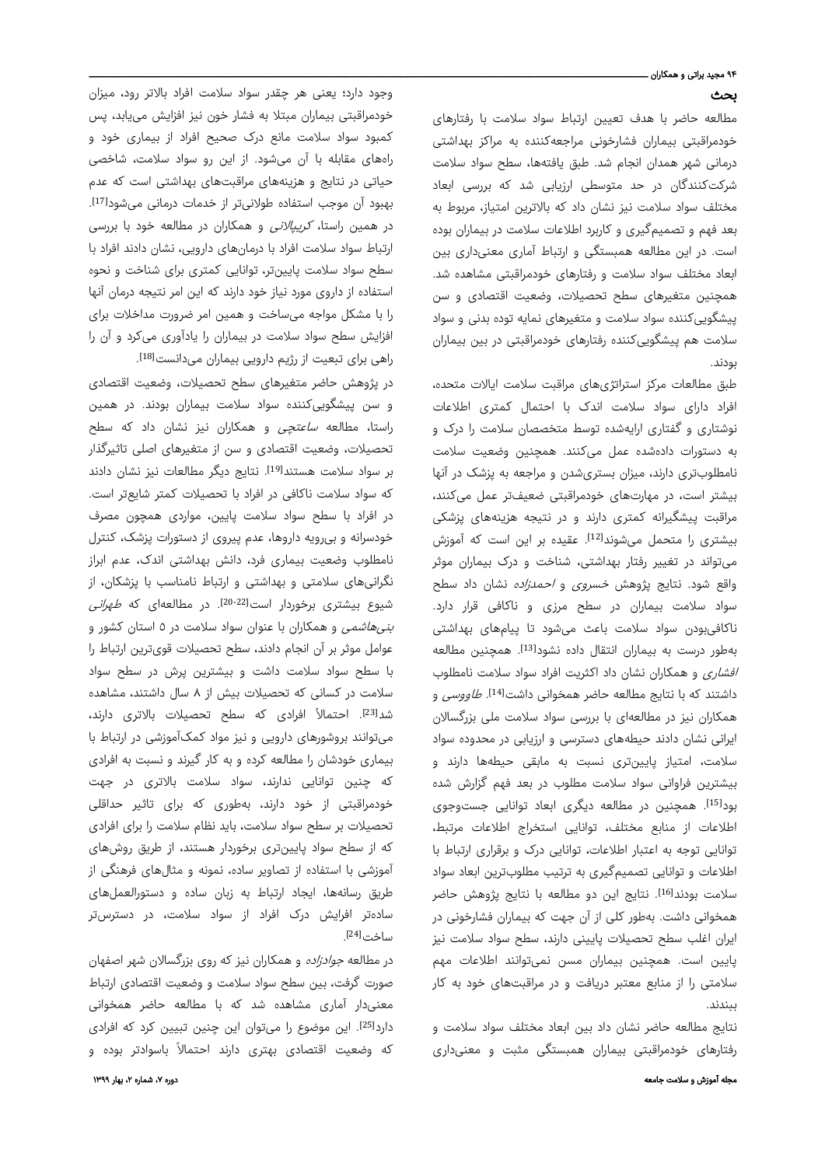#### ۹۴ مجید براتی و همکاران ـ بحث

مطالعه حاضر با هدف تعیین ارتباط سواد سلامت با رفتارهای خودمراقبتی بیماران فشارخونی مراجعهکننده به مراکز بهداشتی درمانی شهر همدان انجام شد. طبق یافتهها، سطح سواد سلامت شرکتکنندگان در حد متوسطی ارزیابی شد که بررسی ابعاد مختلف سواد سلامت نیز نشان داد که بالاترین امتیاز، مربوط به بعد فهم و تصمیمگیری و کاربرد اطلاعات سلامت در بیماران بوده است. در این مطالعه همبستگی و ارتباط آماری معنیداری بین ابعاد مختلف سواد سلامت و رفتارهای خودمراقبتی مشاهده شد. همچنین متغیرهای سطح تحصیلات، وضعیت اقتصادی و سن پیشگوییکننده سواد سلامت و متغیرهای نمایه توده بدنی و سواد سلامت هم پیشگوییکننده رفتارهای خودمراقبتی در بین بیماران بودند.

طبق مطالعات مرکز استراتژیهای مراقبت سلامت ایالات متحده، افراد دارای سواد سلامت اندک با احتمال کمتری اطلاعات نوشتاری و گفتاری ارایهشده توسط متخصصان سلامت را درک و به دستورات دادهشده عمل میکنند. همچنین وضعیت سلامت نامطلوبتری دارند، میزان بستریشدن و مراجعه به پزشک در آنها بیشتر است، در مهارتهای خودمراقبتی ضعیفتر عمل میکنند، مراقبت پیشگیرانه کمتری دارند و در نتیجه هزینههای پزشکی بیشتری را متحمل میشوند<sup>[12]</sup>. عقیده بر این است که آموزش میتواند در تغییر رفتار بهداشتی، شناخت و در ک بیماران موثر واقع شود. نتایج پژوهش خسروی و احمدزاده نشان داد سطح سواد سلامت بیماران در سطح مرزی و ناکافی قرار دارد. ناکافیبودن سواد سلامت باعث میشود تا پیامهای بهداشتی بهطور درست به بیماران انتقال داده نشود<sup>[13]</sup>. همچنین مطالعه افشاری و همکاران نشان داد اکثریت افراد سواد سلامت نامطلوب داشتند که با نتایج مطالعه حاضر همخوانی داشت<sup>[14]</sup>. *طاووسی* و همکاران نیز در مطالعهای با بررسی سواد سلامت ملی بزرگسالان ایرانی نشان دادند حیطههای دسترسی و ارزیابی در محدوده سواد سلامت، امتیاز پایینتری نسبت به مابقی حیطهها دارند و بیشترین فراوانی سواد سلامت مطلوب در بعد فهم گزارش شده بود<sup>[15]</sup>. همچنین در مطالعه دیگری ابعاد توانایی جستوجوی اطلاعات از منابع مختلف، توانایی استخراج اطلاعات مرتبط، توانایی توجه به اعتبار اطلاعات، توانایی درک و برقراری ارتباط با اطلاعات و توانایی تصمیمگیری به ترتیب مطلوبترین ابعاد سواد سلامت بودند[16]. نتایج این دو مطالعه با نتایج پژوهش حاضر همخوانی داشت. بهطور کلی از آن جهت که بیماران فشارخونی در ایران اغلب سطح تحصیلات پایینی دارند، سطح سواد سلامت نیز پایین است. همچنین بیماران مسن نمیتوانند اطلاعات مهم سلامتی را از منابع معتبر دریافت و در مراقبتهای خود به کار ببندند.

نتایج مطالعه حاضر نشان داد بین ابعاد مختلف سواد سلامت و رفتارهای خودمراقبتی بیماران همبستگی مثبت و معنیداری

وجود دارد؛ یعنی هر چقدر سواد سلامت افراد بالاتر رود، میزان خودمراقبتی بیماران مبتلا به فشار خون نیز افزایش مییابد، پس کمبود سواد سلامت مانع درک صحیح افراد از بیماری خود و راههای مقابله با آن میشود. از این رو سواد سلامت، شاخصی حیاتی در نتایج و هزینههای مراقبتهای بهداشتی است که عدم بهبود آن موجب استفاده طولانیتر از خدمات درمانی میشود<sup>[17]</sup>. . در همین راستا، کریپالانی و همکاران در مطالعه خود با بررسی ارتباط سواد سلامت افراد با درمانهای دارویی، نشان دادند افراد با سطح سواد سلامت پایینتر، توانایی کمتری برای شناخت و نحوه استفاده از داروی مورد نیاز خود دارند که این امر نتیجه درمان آنها را با مشکل مواجه میساخت و همین امر ضرورت مداخلات برای افزایش سطح سواد سلامت در بیماران را یادآوری میکرد و آن را . [18] راهی برای تبعیت از رژیم دارویی بیماران میدانست

در پژوهش حاضر متغیرهای سطح تحصیلات، وضعیت اقتصادی و سن پیشگوییکننده سواد سلامت بیماران بودند. در همین راستا، مطالعه *ساعتچی* و همکاران نیز نشان داد که سطح تحصیلات، وضعیت اقتصادی و سن از متغیرهای اصلی تاثیرگذار بر سواد سلامت هستند<sup>[19]</sup>. نتایج دیگر مطالعات نیز نشان دادند که سواد سلامت ناکافی در افراد با تحصیلات کمتر شایعتر است. در افراد با سطح سواد سلامت پایین، مواردی همچون مصرف خودسرانه و بیرویه داروها، عدم پیروی از دستورات پزشک، کنترل نامطلوب وضعیت بیماری فرد، دانش بهداشتی اندک، عدم ابراز نگرانیهای سلامتی و بهداشتی و ارتباط نامناسب با پزشکان، از شیوع بیشتری برخوردار است[20-22]. در مطالعهای که طهرانی *بنیهاشمی* و همکاران با عنوان سواد سلامت در ٥ استان کشور و عوامل موثر بر آن انجام دادند، سطح تحصیلات قویترین ارتباط را با سطح سواد سلامت داشت و بیشترین پرش در سطح سواد سلامت در کسانی که تحصیلات بیش از ٨ سال داشتند، مشاهده شد<sup>[23]</sup>. احتمالاً افرادی که سطح تحصیلات بالاتری دارند<mark>،</mark> میتوانند بروشورهای دارویی و نیز مواد کمکآموزشی در ارتباط با بیماری خودشان را مطالعه کرده و به کار گیرند و نسبت به افرادی که چنین توانایی ندارند، سواد سلامت بالاتری در جهت خودمراقبتی از خود دارند، بهطوری که برای تاثیر حداقلی تحصیلات بر سطح سواد سلامت، باید نظام سلامت را برای افرادی که از سطح سواد پایینتری برخوردار هستند، از طریق روشهای آموزشی با استفاده از تصاویر ساده، نمونه و مثالهای فرهنگی از طریق رسانهها، ایجاد ارتباط به زبان ساده و دستورالعملهای سادهتر افرایش در ک افراد از سواد سلامت، در دسترستر . ساخت[24]

در مطالعه *جوادزاده* و همکاران نیز که روی بزرگسالان شهر اصفهان صورت گرفت، بین سطح سواد سلامت و وضعیت اقتصادی ارتباط معنیدار آماری مشاهده شد که با مطالعه حاضر همخوانی دارد<sup>[25]</sup>. این موضوع را میتوان این چنین تبیین کرد که افرادی که وضعیت اقتصادی بهتری دارند احتمالاً باسوادتر بوده و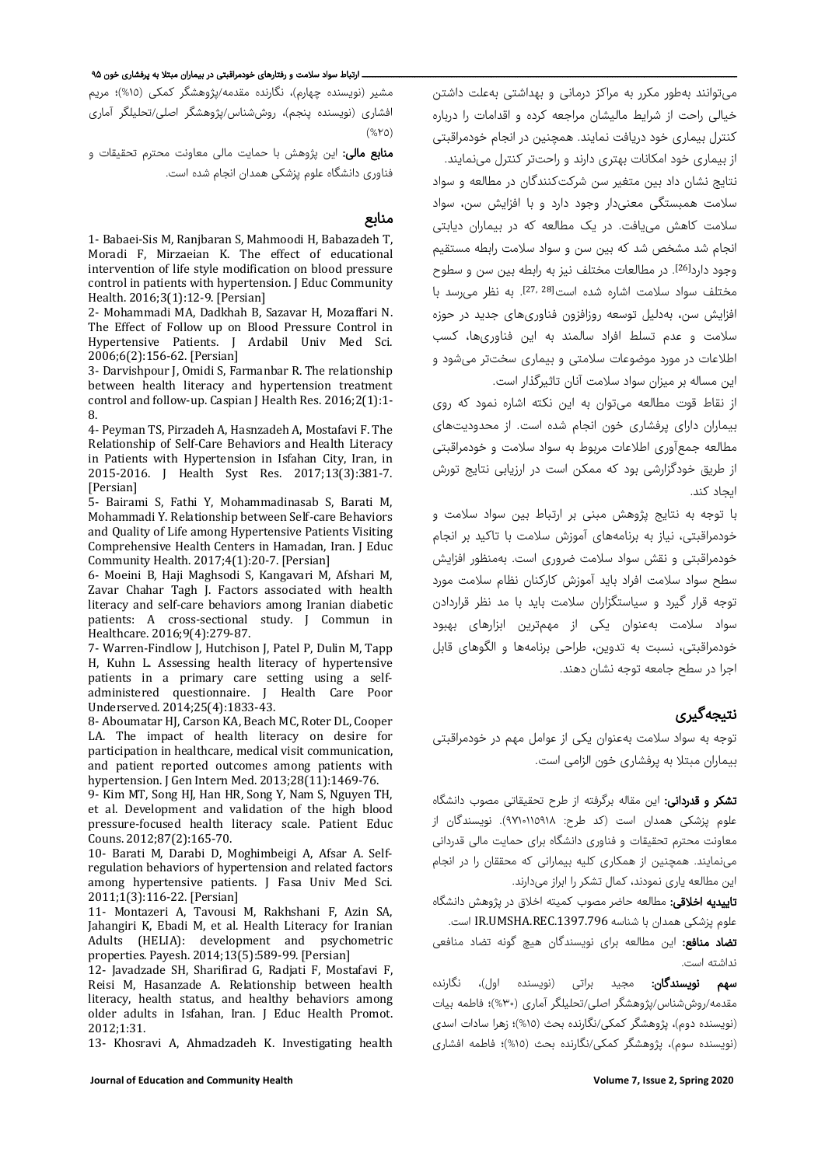میتوانند بهطور مکرر به مراکز درمانی و بهداشتی بهعلت داشتن خیالی راحت از شرایط مالیشان مراجعه کرده و اقدامات را درباره کنترل بیماری خود دریافت نمایند. همچنین در انجام خودمراقبتی از بیماری خود امکانات بهتری دارند و راحتتر کنترل مینمایند. نتایج نشان داد بین متغیر سن شرکتکنندگان در مطالعه و سواد سلامت همبستگی معنیدار وجود دارد و با افزایش سن، سواد سلامت کاهش مییافت. در یک مطالعه که در بیماران دیابتی انجام شد مشخص شد که بین سن و سواد سلامت رابطه مستقیم وجود دارد<sup>[26]</sup>. در مطالعات مختلف نیز به رابطه بین سن و سطوح مختلف سواد سلامت اشاره شده است<sup>[27, 28]</sup>. به نظر می رسد با افزایش سن، بهدلیل توسعه روزافزون فناوریهای جدید در حوزه سلامت و عدم تسلط افراد سالمند به این فناوریها، کسب اطلاعات در مورد موضوعات سلامتی و بیماری سختتر میشود و این مساله بر میزان سواد سلامت آنان تاثیرگذار است.

از نقاط قوت مطالعه میتوان به این نکته اشاره نمود که روی بیماران دارای پرفشاری خون انجام شده است. از محدودیتهای مطالعه جمعآوری اطلاعات مربوط به سواد سلامت و خودمراقبتی از طریق خودگزارشی بود که ممکن است در ارزیابی نتایج تورش ایجاد کند.

با توجه به نتایج پژوهش مبنی بر ارتباط بین سواد سلامت و خودمراقبتی، نیاز به برنامههای آموزش سلامت با تاکید بر انجام خودمراقبتی و نقش سواد سلامت ضروری است. بهمنظور افزایش سطح سواد سلامت افراد باید آموزش کارکنان نظام سلامت مورد توجه قرار گیرد و سیاستگزاران سلامت باید با مد نظر قراردادن سواد سلامت بهعنوان یکی از مهمترین ابزارهای بهبود خودمراقبتی، نسبت به تدوین، طراحی برنامهها و الگوهای قابل اجرا در سطح جامعه توجه نشان دهند.

## نتیجهگیری

توجه به سواد سلامت بهعنوان یکی از عوامل مهم در خودمراقبتی بیماران مبتلا به پرفشاری خون الزامی است.

تشکر و قدردانی: این مقاله برگرفته از طرح تحقیقاتی مصوب دانشگاه علوم پزشکی همدان است (کد طرح: ٩٧١٠١١٥٩١٨). نویسندگان از معاونت محترم تحقیقات و فناوری دانشگاه برای حمایت مالی قدردانی مینمایند. همچنین از همکاری کلیه بیمارانی که محققان را در انجام این مطالعه یاری نمودند، کمال تشکر را ابراز میدارند.

<mark>تاییدیه اخلاقی:</mark> مطالعه حاضر مصوب کمیته اخلاق در پژوهش دانشگاه علوم پزشکی همدان با شناسه IR.UMSHA.REC.1397.796 است.

تضاد منافع: این مطالعه برای نویسندگان هیچ گونه تضاد منافعی نداشته است.

**سهم نویسندگان:** مجید براتی (نویسنده اول)، نگارنده مقدمه/روششناس/پژوهشگر اصلی/تحلیلگر آماری (%٣٠)؛ فاطمه بیات (نویسنده دوم)، پژوهشگر کمکی/نگارنده بحث (%١٥)؛ زهرا سادات اسدی (نویسنده سوم)، پژوهشگر کمکی/نگارنده بحث (%١٥)؛ فاطمه افشاری

#### ــــ ارتباط سواد سلامت و رفتارهای خودمراقبتی در بیماران مبتلا به پرفشاری خون ۹۵

مشیر (نویسنده چهارم)، نگارنده مقدمه/پژوهشگر کمکی (%١٥)؛ مریم افشاری (نویسنده پنجم)، روششناس/پژوهشگر اصلی/تحلیلگر آماری (%٢٥)

م**نابع مالی:** این پژوهش با حمایت مالی معاونت محترم تحقیقات و فناوری دانشگاه علوم پزشکی همدان انجام شده است.

#### منابع

1- Babaei-Sis M, Ranjbaran S, Mahmoodi H, Babazadeh T, Moradi F, Mirzaeian K. The effect of educational intervention of life style modification on blood pressure control in patients with hypertension. J Educ Community Health. 2016;3(1):12-9. [Persian]

2- Mohammadi MA, Dadkhah B, Sazavar H, Mozaffari N. The Effect of Follow up on Blood Pressure Control in Hypertensive Patients. J Ardabil Univ Med Sci. 2006;6(2):156-62. [Persian]

3- Darvishpour J, Omidi S, Farmanbar R. The relationship between health literacy and hypertension treatment control and follow-up. Caspian J Health Res. 2016;2(1):1- 8.

4- Peyman TS, Pirzadeh A, Hasnzadeh A, Mostafavi F. The Relationship of Self-Care Behaviors and Health Literacy in Patients with Hypertension in Isfahan City, Iran, in 2015-2016. J Health Syst Res. 2017;13(3):381-7. [Persian]

5- Bairami S, Fathi Y, Mohammadinasab S, Barati M, Mohammadi Y. Relationship between Self-care Behaviors and Quality of Life among Hypertensive Patients Visiting Comprehensive Health Centers in Hamadan, Iran. J Educ Community Health. 2017;4(1):20-7. [Persian]

6- Moeini B, Haji Maghsodi S, Kangavari M, Afshari M, Zavar Chahar Tagh J. Factors associated with health literacy and self-care behaviors among Iranian diabetic patients: A cross-sectional study. J Commun in Healthcare. 2016;9(4):279-87.

7- Warren-Findlow J, Hutchison J, Patel P, Dulin M, Tapp H, Kuhn L. Assessing health literacy of hypertensive patients in a primary care setting using a selfadministered questionnaire. J Health Care Poor Underserved. 2014;25(4):1833-43.

8- Aboumatar HJ, Carson KA, Beach MC, Roter DL, Cooper LA. The impact of health literacy on desire for participation in healthcare, medical visit communication, and patient reported outcomes among patients with hypertension. J Gen Intern Med. 2013;28(11):1469-76.

9- Kim MT, Song HJ, Han HR, Song Y, Nam S, Nguyen TH, et al. Development and validation of the high blood pressure-focused health literacy scale. Patient Educ Couns. 2012;87(2):165-70.

10- Barati M, Darabi D, Moghimbeigi A, Afsar A. Selfregulation behaviors of hypertension and related factors among hypertensive patients. J Fasa Univ Med Sci. 2011;1(3):116-22. [Persian]

11- Montazeri A, Tavousi M, Rakhshani F, Azin SA, Jahangiri K, Ebadi M, et al. Health Literacy for Iranian Adults (HELIA): development and psychometric properties. Payesh. 2014;13(5):589-99. [Persian]

12- Javadzade SH, Sharifirad G, Radjati F, Mostafavi F, Reisi M, Hasanzade A. Relationship between health literacy, health status, and healthy behaviors among older adults in Isfahan, Iran. J Educ Health Promot. 2012;1:31.

13- Khosravi A, Ahmadzadeh K. Investigating health